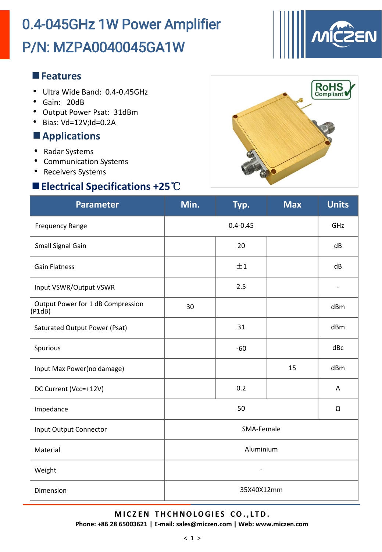# P/N: MZPA0040045GA1W 0.4-045GHz 1W Power Amplifier



#### **Features**

- Ultra Wide Band: 0.4-0.45GHz
- Gain: 20dB
- Output Power Psat: 31dBm
- Bias: Vd=12V;Id=0.2A

### **Applications**

- Radar Systems
- Communication Systems
- Receivers Systems

## **Electrical Specifications +25**℃



| <b>Parameter</b>                            | Min.       | Typ.    | <b>Max</b> | <b>Units</b> |  |  |
|---------------------------------------------|------------|---------|------------|--------------|--|--|
| <b>Frequency Range</b>                      |            | GHz     |            |              |  |  |
| Small Signal Gain                           |            | 20      |            | dB           |  |  |
| <b>Gain Flatness</b>                        |            | ±1      |            | dB           |  |  |
| Input VSWR/Output VSWR                      |            | 2.5     |            |              |  |  |
| Output Power for 1 dB Compression<br>(P1dB) | 30         |         |            | dBm          |  |  |
| Saturated Output Power (Psat)               |            | 31      |            | dBm          |  |  |
| Spurious                                    |            | $-60$   |            | dBc          |  |  |
| Input Max Power(no damage)                  |            |         | 15         | dBm          |  |  |
| DC Current (Vcc=+12V)                       |            | 0.2     |            | A            |  |  |
| Impedance                                   |            | 50<br>Ω |            |              |  |  |
| Input Output Connector                      | SMA-Female |         |            |              |  |  |
| Material                                    | Aluminium  |         |            |              |  |  |
| Weight                                      |            |         |            |              |  |  |
| Dimension                                   | 35X40X12mm |         |            |              |  |  |

#### **M I C Z EN T HCHNOLOGI E S CO. , L TD.**

**Phone: +86 28 65003621 | E-mail: sales@miczen.com | Web: www.miczen.com**